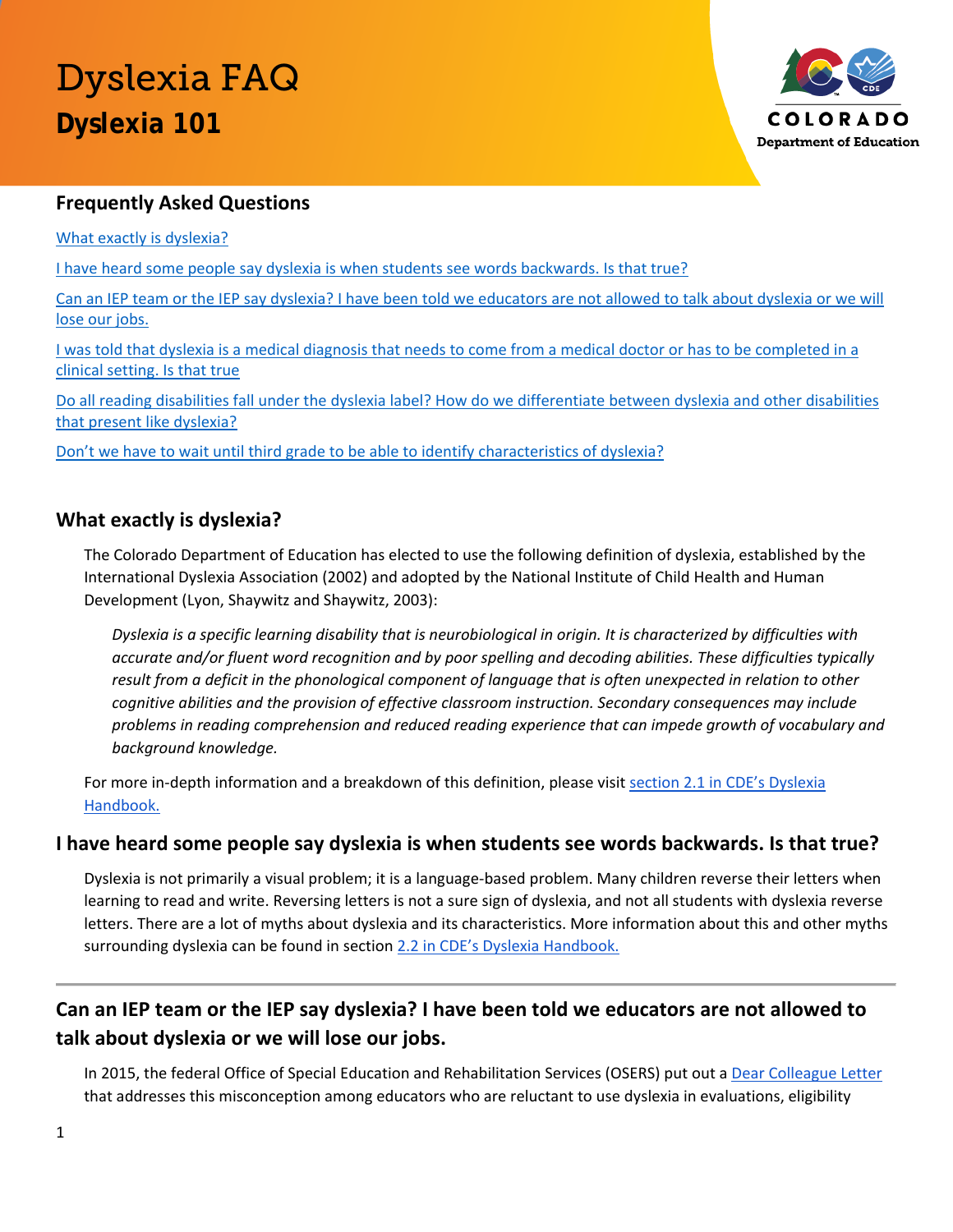# Dyslexia FAQ **Dyslexia 101**



## **Frequently Asked Questions**

[What exactly is dyslexia?](#page-0-0)

[I have heard some people say dyslexia is when students see words backwards. Is that true?](#page-0-1)

[Can an IEP team or the IEP say dyslexia? I have been told we educators are not allowed to talk about dyslexia or we will](#page-0-2)  [lose our jobs.](#page-0-2)

I was told that dyslexia is a medical diagnosis that [needs to come from a medical doctor or has to be completed in a](#page-1-0)  [clinical setting. Is that true](#page-1-0)

Do all reading disabilities fall under the dyslexia label? How do we differentiate between dyslexia and other disabilities [that present like dyslexia?](#page-1-1)

[Don't we have to wait until third grade to be able to identify characteristics of dyslexia?](#page-1-2)

## <span id="page-0-0"></span>**What exactly is dyslexia?**

The Colorado Department of Education has elected to use the following definition of dyslexia, established by the International Dyslexia Association (2002) and adopted by the National Institute of Child Health and Human Development (Lyon, Shaywitz and Shaywitz, 2003):

*Dyslexia is a specific learning disability that is neurobiological in origin. It is characterized by difficulties with accurate and/or fluent word recognition and by poor spelling and decoding abilities. These difficulties typically result from a deficit in the phonological component of language that is often unexpected in relation to other cognitive abilities and the provision of effective classroom instruction. Secondary consequences may include problems in reading comprehension and reduced reading experience that can impede growth of vocabulary and background knowledge.* 

For more in-depth information and a breakdown of this definition, please visi[t section 2.1 in CDE's Dyslexia](https://www.cde.state.co.us/node/46035)  [Handbook.](https://www.cde.state.co.us/node/46035)

## <span id="page-0-1"></span>**I have heard some people say dyslexia is when students see words backwards. Is that true?**

Dyslexia is not primarily a visual problem; it is a language-based problem. Many children reverse their letters when learning to read and write. Reversing letters is not a sure sign of dyslexia, and not all students with dyslexia reverse letters. There are a lot of myths about dyslexia and its characteristics. More information about this and other myths surrounding dyslexia can be found in section [2.2 in CDE's Dyslexia Handbook.](https://www.cde.state.co.us/node/43703)

## <span id="page-0-2"></span>**Can an IEP team or the IEP say dyslexia? I have been told we educators are not allowed to talk about dyslexia or we will lose our jobs.**

In 2015, the federal Office of Special Education and Rehabilitation Services (OSERS) put out a [Dear Colleague Letter](https://www2.ed.gov/policy/speced/guid/idea/memosdcltrs/guidance-on-dyslexia-10-2015.pdf) that addresses this misconception among educators who are reluctant to use dyslexia in evaluations, eligibility